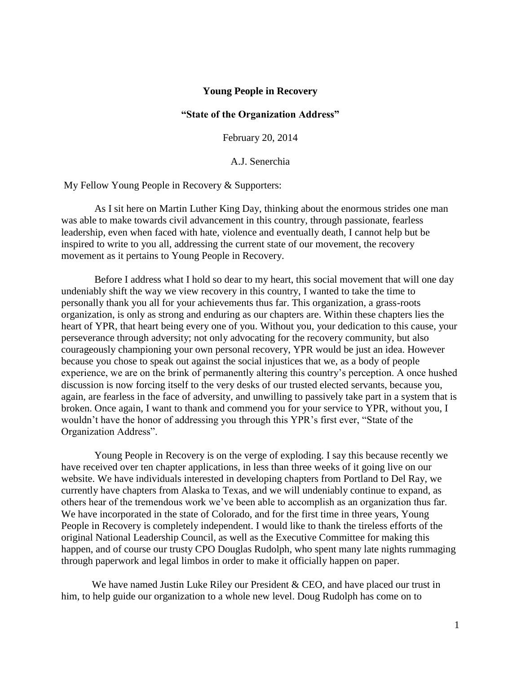## **Young People in Recovery**

## **"State of the Organization Address"**

February 20, 2014

A.J. Senerchia

My Fellow Young People in Recovery & Supporters:

 As I sit here on Martin Luther King Day, thinking about the enormous strides one man was able to make towards civil advancement in this country, through passionate, fearless leadership, even when faced with hate, violence and eventually death, I cannot help but be inspired to write to you all, addressing the current state of our movement, the recovery movement as it pertains to Young People in Recovery.

 Before I address what I hold so dear to my heart, this social movement that will one day undeniably shift the way we view recovery in this country, I wanted to take the time to personally thank you all for your achievements thus far. This organization, a grass-roots organization, is only as strong and enduring as our chapters are. Within these chapters lies the heart of YPR, that heart being every one of you. Without you, your dedication to this cause, your perseverance through adversity; not only advocating for the recovery community, but also courageously championing your own personal recovery, YPR would be just an idea. However because you chose to speak out against the social injustices that we, as a body of people experience, we are on the brink of permanently altering this country's perception. A once hushed discussion is now forcing itself to the very desks of our trusted elected servants, because you, again, are fearless in the face of adversity, and unwilling to passively take part in a system that is broken. Once again, I want to thank and commend you for your service to YPR, without you, I wouldn't have the honor of addressing you through this YPR's first ever, "State of the Organization Address".

 Young People in Recovery is on the verge of exploding. I say this because recently we have received over ten chapter applications, in less than three weeks of it going live on our website. We have individuals interested in developing chapters from Portland to Del Ray, we currently have chapters from Alaska to Texas, and we will undeniably continue to expand, as others hear of the tremendous work we've been able to accomplish as an organization thus far. We have incorporated in the state of Colorado, and for the first time in three years, Young People in Recovery is completely independent. I would like to thank the tireless efforts of the original National Leadership Council, as well as the Executive Committee for making this happen, and of course our trusty CPO Douglas Rudolph, who spent many late nights rummaging through paperwork and legal limbos in order to make it officially happen on paper.

We have named Justin Luke Riley our President & CEO, and have placed our trust in him, to help guide our organization to a whole new level. Doug Rudolph has come on to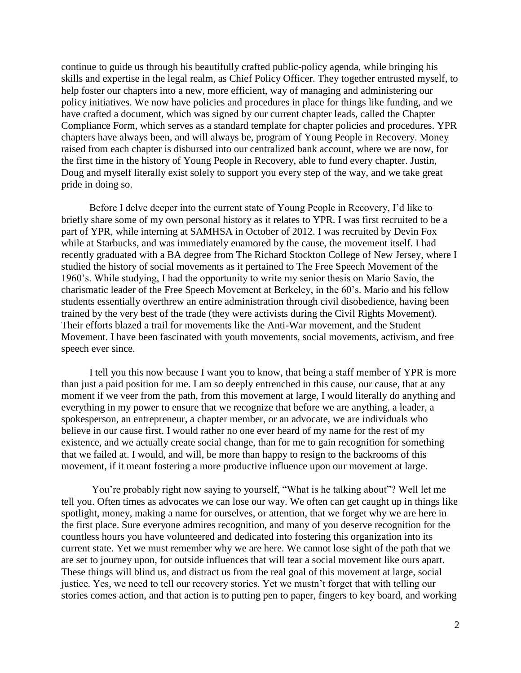continue to guide us through his beautifully crafted public-policy agenda, while bringing his skills and expertise in the legal realm, as Chief Policy Officer. They together entrusted myself, to help foster our chapters into a new, more efficient, way of managing and administering our policy initiatives. We now have policies and procedures in place for things like funding, and we have crafted a document, which was signed by our current chapter leads, called the Chapter Compliance Form, which serves as a standard template for chapter policies and procedures. YPR chapters have always been, and will always be, program of Young People in Recovery. Money raised from each chapter is disbursed into our centralized bank account, where we are now, for the first time in the history of Young People in Recovery, able to fund every chapter. Justin, Doug and myself literally exist solely to support you every step of the way, and we take great pride in doing so.

 Before I delve deeper into the current state of Young People in Recovery, I'd like to briefly share some of my own personal history as it relates to YPR. I was first recruited to be a part of YPR, while interning at SAMHSA in October of 2012. I was recruited by Devin Fox while at Starbucks, and was immediately enamored by the cause, the movement itself. I had recently graduated with a BA degree from The Richard Stockton College of New Jersey, where I studied the history of social movements as it pertained to The Free Speech Movement of the 1960's. While studying, I had the opportunity to write my senior thesis on Mario Savio, the charismatic leader of the Free Speech Movement at Berkeley, in the 60's. Mario and his fellow students essentially overthrew an entire administration through civil disobedience, having been trained by the very best of the trade (they were activists during the Civil Rights Movement). Their efforts blazed a trail for movements like the Anti-War movement, and the Student Movement. I have been fascinated with youth movements, social movements, activism, and free speech ever since.

 I tell you this now because I want you to know, that being a staff member of YPR is more than just a paid position for me. I am so deeply entrenched in this cause, our cause, that at any moment if we veer from the path, from this movement at large, I would literally do anything and everything in my power to ensure that we recognize that before we are anything, a leader, a spokesperson, an entrepreneur, a chapter member, or an advocate, we are individuals who believe in our cause first. I would rather no one ever heard of my name for the rest of my existence, and we actually create social change, than for me to gain recognition for something that we failed at. I would, and will, be more than happy to resign to the backrooms of this movement, if it meant fostering a more productive influence upon our movement at large.

 You're probably right now saying to yourself, "What is he talking about"? Well let me tell you. Often times as advocates we can lose our way. We often can get caught up in things like spotlight, money, making a name for ourselves, or attention, that we forget why we are here in the first place. Sure everyone admires recognition, and many of you deserve recognition for the countless hours you have volunteered and dedicated into fostering this organization into its current state. Yet we must remember why we are here. We cannot lose sight of the path that we are set to journey upon, for outside influences that will tear a social movement like ours apart. These things will blind us, and distract us from the real goal of this movement at large, social justice. Yes, we need to tell our recovery stories. Yet we mustn't forget that with telling our stories comes action, and that action is to putting pen to paper, fingers to key board, and working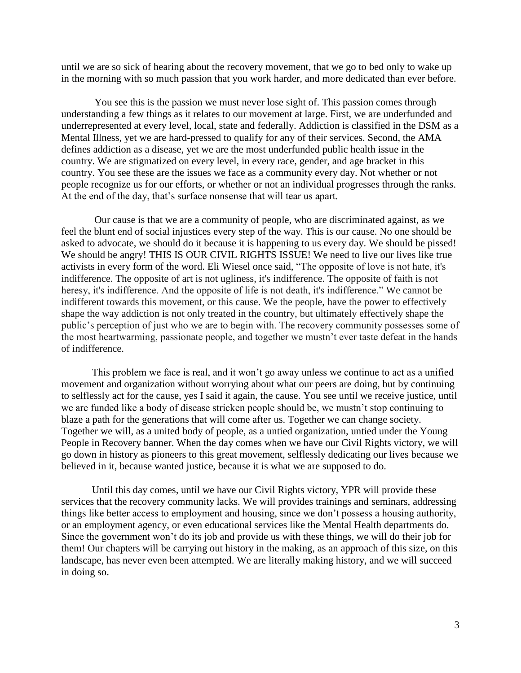until we are so sick of hearing about the recovery movement, that we go to bed only to wake up in the morning with so much passion that you work harder, and more dedicated than ever before.

 You see this is the passion we must never lose sight of. This passion comes through understanding a few things as it relates to our movement at large. First, we are underfunded and underrepresented at every level, local, state and federally. Addiction is classified in the DSM as a Mental Illness, yet we are hard-pressed to qualify for any of their services. Second, the AMA defines addiction as a disease, yet we are the most underfunded public health issue in the country. We are stigmatized on every level, in every race, gender, and age bracket in this country. You see these are the issues we face as a community every day. Not whether or not people recognize us for our efforts, or whether or not an individual progresses through the ranks. At the end of the day, that's surface nonsense that will tear us apart.

 Our cause is that we are a community of people, who are discriminated against, as we feel the blunt end of social injustices every step of the way. This is our cause. No one should be asked to advocate, we should do it because it is happening to us every day. We should be pissed! We should be angry! THIS IS OUR CIVIL RIGHTS ISSUE! We need to live our lives like true activists in every form of the word. Eli Wiesel once said, "The opposite of love is not hate, it's indifference. The opposite of art is not ugliness, it's indifference. The opposite of faith is not heresy, it's indifference. And the opposite of life is not death, it's indifference." We cannot be indifferent towards this movement, or this cause. We the people, have the power to effectively shape the way addiction is not only treated in the country, but ultimately effectively shape the public's perception of just who we are to begin with. The recovery community possesses some of the most heartwarming, passionate people, and together we mustn't ever taste defeat in the hands of indifference.

This problem we face is real, and it won't go away unless we continue to act as a unified movement and organization without worrying about what our peers are doing, but by continuing to selflessly act for the cause, yes I said it again, the cause. You see until we receive justice, until we are funded like a body of disease stricken people should be, we mustn't stop continuing to blaze a path for the generations that will come after us. Together we can change society. Together we will, as a united body of people, as a untied organization, untied under the Young People in Recovery banner. When the day comes when we have our Civil Rights victory, we will go down in history as pioneers to this great movement, selflessly dedicating our lives because we believed in it, because wanted justice, because it is what we are supposed to do.

Until this day comes, until we have our Civil Rights victory, YPR will provide these services that the recovery community lacks. We will provides trainings and seminars, addressing things like better access to employment and housing, since we don't possess a housing authority, or an employment agency, or even educational services like the Mental Health departments do. Since the government won't do its job and provide us with these things, we will do their job for them! Our chapters will be carrying out history in the making, as an approach of this size, on this landscape, has never even been attempted. We are literally making history, and we will succeed in doing so.